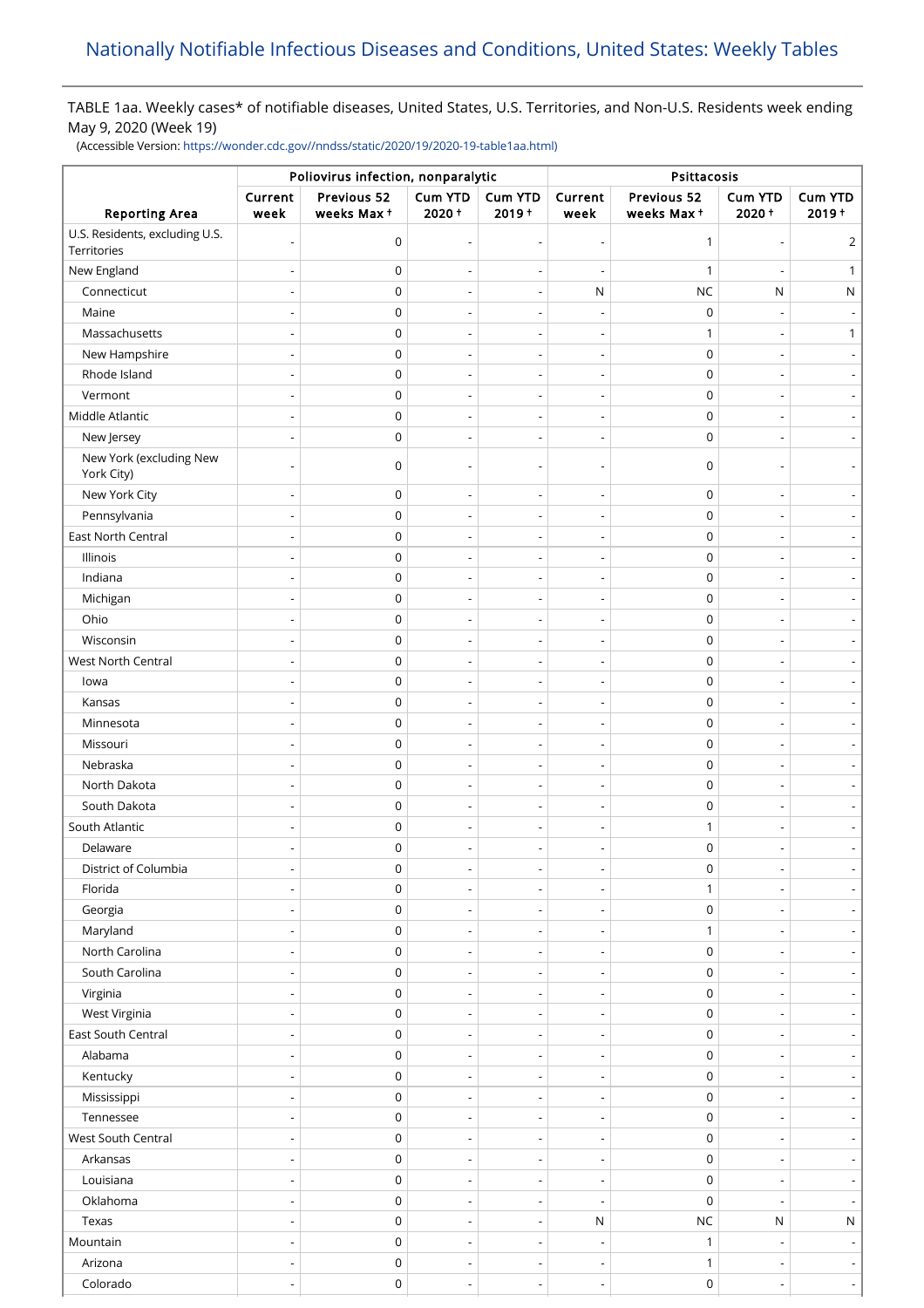TABLE 1aa. Weekly cases\* of notifiable diseases, United States, U.S. Territories, and Non-U.S. Residents week ending May 9, 2020 (Week 19)

(Accessible Version: [https://wonder.cdc.gov//nndss/static/2020/19/2020-19-table1aa.html\)](https://wonder.cdc.gov//nndss/static/2020/19/2020-19-table1aa.html)

|                                               | Poliovirus infection, nonparalytic |                           |                                                      |                                                      | Psittacosis                                          |                                 |                          |                                                      |
|-----------------------------------------------|------------------------------------|---------------------------|------------------------------------------------------|------------------------------------------------------|------------------------------------------------------|---------------------------------|--------------------------|------------------------------------------------------|
| <b>Reporting Area</b>                         | Current<br>week                    | Previous 52<br>weeks Max+ | <b>Cum YTD</b><br>$2020 +$                           | <b>Cum YTD</b><br>$2019 +$                           | Current<br>week                                      | Previous 52<br>weeks Max+       | <b>Cum YTD</b><br>2020+  | Cum YTD<br>$2019 +$                                  |
| U.S. Residents, excluding U.S.<br>Territories |                                    | 0                         |                                                      | Ĭ.                                                   | $\overline{a}$                                       | $\mathbf{1}$                    |                          | $\overline{2}$                                       |
| New England                                   |                                    | 0                         |                                                      | ÷,                                                   | ÷,                                                   | $\mathbf{1}$                    |                          | 1                                                    |
| Connecticut                                   |                                    | $\mathsf 0$               |                                                      | $\overline{\phantom{a}}$                             | ${\sf N}$                                            | NC                              | N                        | ${\sf N}$                                            |
| Maine                                         |                                    | $\mathsf 0$               |                                                      |                                                      |                                                      | $\pmb{0}$                       |                          |                                                      |
| Massachusetts                                 | $\overline{\phantom{a}}$           | 0                         | $\overline{\phantom{a}}$                             | $\overline{\phantom{a}}$                             | $\overline{\phantom{a}}$                             | $\mathbf{1}$                    |                          | $\mathbf{1}$                                         |
| New Hampshire                                 |                                    | 0                         |                                                      |                                                      |                                                      | $\mathbf 0$                     |                          |                                                      |
| Rhode Island                                  |                                    | $\mathsf 0$               |                                                      | $\overline{\phantom{a}}$                             | $\overline{\phantom{0}}$                             | $\mathbf 0$                     |                          |                                                      |
| Vermont                                       |                                    | $\mathsf 0$               |                                                      | ÷,                                                   | Ĭ.                                                   | 0                               |                          |                                                      |
| Middle Atlantic                               |                                    | 0                         | $\overline{a}$                                       | $\overline{\phantom{a}}$                             | $\overline{\phantom{0}}$                             | $\mathbf 0$                     |                          |                                                      |
| New Jersey                                    |                                    | 0                         | $\overline{\phantom{a}}$                             | $\overline{\phantom{a}}$                             | $\overline{a}$                                       | $\mathbf 0$                     |                          |                                                      |
| New York (excluding New<br>York City)         |                                    | 0                         |                                                      |                                                      |                                                      | $\mathbf 0$                     |                          |                                                      |
| New York City                                 |                                    | $\mathsf 0$               |                                                      | $\overline{\phantom{a}}$                             | $\overline{\phantom{a}}$                             | $\mathbf 0$                     |                          |                                                      |
| Pennsylvania                                  |                                    | $\mathsf 0$               |                                                      | $\overline{\phantom{a}}$                             | $\overline{a}$                                       | $\mathbf 0$                     |                          |                                                      |
| East North Central                            |                                    | $\mathsf 0$               |                                                      | $\overline{\phantom{a}}$                             | $\overline{\phantom{a}}$                             | $\mathbf 0$                     |                          |                                                      |
| Illinois                                      |                                    | 0                         |                                                      | $\overline{\phantom{a}}$                             | $\overline{\phantom{a}}$                             | $\mathbf 0$                     |                          |                                                      |
| Indiana                                       |                                    | 0                         |                                                      |                                                      |                                                      | $\pmb{0}$                       |                          |                                                      |
| Michigan                                      |                                    | $\mathsf 0$               |                                                      | $\overline{\phantom{a}}$                             | $\overline{\phantom{a}}$                             | $\mathbf 0$                     |                          |                                                      |
| Ohio                                          |                                    | 0                         |                                                      | $\overline{a}$                                       | Ĭ.                                                   | 0                               |                          |                                                      |
| Wisconsin                                     |                                    | 0                         | $\overline{\phantom{a}}$                             | $\overline{\phantom{a}}$                             | $\overline{\phantom{0}}$                             | $\mathbf 0$                     |                          |                                                      |
| <b>West North Central</b>                     |                                    | 0                         |                                                      |                                                      |                                                      | $\mathbf 0$                     |                          |                                                      |
| lowa                                          |                                    | 0                         | $\overline{\phantom{a}}$                             | $\overline{\phantom{a}}$                             | $\overline{\phantom{a}}$                             | $\mathbf 0$                     |                          |                                                      |
| Kansas                                        |                                    | $\mathsf 0$               |                                                      | $\overline{\phantom{a}}$                             | $\overline{\phantom{a}}$                             | $\mathbf 0$                     |                          |                                                      |
| Minnesota                                     |                                    | 0                         | $\overline{\phantom{a}}$                             |                                                      | $\overline{\phantom{a}}$                             | $\mathbf 0$                     |                          |                                                      |
| Missouri                                      |                                    | 0                         | $\overline{\phantom{a}}$                             | $\overline{\phantom{a}}$<br>$\overline{\phantom{a}}$ | $\overline{\phantom{a}}$                             | $\mathbf 0$                     |                          |                                                      |
| Nebraska                                      |                                    | $\mathsf 0$               |                                                      |                                                      |                                                      | $\mathbf 0$                     |                          |                                                      |
| North Dakota                                  |                                    | $\mathsf 0$               |                                                      | $\overline{\phantom{a}}$                             | $\overline{a}$                                       | $\mathbf 0$                     |                          |                                                      |
| South Dakota                                  |                                    | $\mathsf 0$               |                                                      |                                                      | $\overline{\phantom{a}}$                             | $\mathbf 0$                     |                          |                                                      |
| South Atlantic                                |                                    | 0                         |                                                      | $\overline{\phantom{a}}$                             | $\overline{\phantom{a}}$                             | 1                               |                          |                                                      |
| Delaware                                      |                                    | 0                         |                                                      |                                                      |                                                      | $\mathbf 0$                     |                          |                                                      |
| District of Columbia                          | $\qquad \qquad \blacksquare$       | $\pmb{0}$                 |                                                      |                                                      | $\overline{\phantom{m}}$                             | $\pmb{0}$                       |                          |                                                      |
| Florida                                       | ÷,                                 | 0                         |                                                      | $\overline{\phantom{a}}$                             | $\overline{a}$                                       | $\mathbf{1}$                    |                          | $\overline{\phantom{a}}$                             |
| Georgia                                       | $\overline{a}$                     | 0                         | $\overline{\phantom{0}}$                             |                                                      | $\overline{\phantom{m}}$                             | $\mathbf 0$                     |                          | $\overline{\phantom{a}}$                             |
| Maryland                                      | $\overline{a}$                     | 0                         | $\overline{\phantom{a}}$                             | $\overline{\phantom{a}}$<br>$\overline{\phantom{a}}$ | $\overline{\phantom{a}}$                             | $\mathbf{1}$                    |                          | $\overline{\phantom{0}}$                             |
| North Carolina                                | $\overline{\phantom{a}}$           | 0                         | $\overline{\phantom{a}}$                             |                                                      |                                                      | $\boldsymbol{0}$                |                          | $\overline{\phantom{a}}$                             |
| South Carolina                                | $\overline{a}$                     | 0                         | $\overline{\phantom{a}}$                             | $\overline{\phantom{a}}$<br>$\overline{\phantom{a}}$ | $\overline{\phantom{m}}$<br>$\overline{a}$           | $\boldsymbol{0}$                |                          | $\overline{\phantom{a}}$                             |
| Virginia                                      | ÷,                                 | $\pmb{0}$                 | $\overline{\phantom{a}}$                             | $\overline{\phantom{a}}$                             | $\overline{\phantom{0}}$                             | $\mathsf 0$                     |                          |                                                      |
| West Virginia                                 |                                    | $\pmb{0}$                 | $\overline{\phantom{a}}$                             | $\overline{\phantom{a}}$                             |                                                      | $\mathsf 0$                     |                          |                                                      |
| East South Central                            | $\overline{a}$                     | $\pmb{0}$                 |                                                      |                                                      | $\overline{\phantom{a}}$<br>$\overline{\phantom{a}}$ | $\mathsf 0$                     |                          | $\overline{\phantom{a}}$<br>$\overline{\phantom{a}}$ |
| Alabama                                       | $\overline{a}$                     | 0                         |                                                      |                                                      |                                                      | $\boldsymbol{0}$                |                          |                                                      |
|                                               |                                    | $\pmb{0}$                 | $\overline{\phantom{a}}$                             | $\overline{\phantom{a}}$                             | $\overline{\phantom{m}}$                             | $\boldsymbol{0}$                |                          | $\overline{\phantom{a}}$                             |
| Kentucky<br>Mississippi                       | $\overline{a}$                     | 0                         |                                                      | $\overline{\phantom{a}}$                             | $\overline{\phantom{0}}$                             | 0                               |                          |                                                      |
| Tennessee                                     |                                    | 0                         | $\overline{\phantom{a}}$<br>$\overline{a}$           | $\overline{\phantom{a}}$<br>$\overline{a}$           | $\overline{\phantom{m}}$<br>$\overline{a}$           | 0                               |                          | $\overline{\phantom{a}}$<br>$\overline{\phantom{0}}$ |
|                                               |                                    | 0                         |                                                      |                                                      |                                                      |                                 |                          |                                                      |
| West South Central                            |                                    |                           | $\overline{\phantom{a}}$                             | $\overline{\phantom{a}}$                             | $\overline{\phantom{m}}$                             | 0                               |                          | $\overline{\phantom{a}}$                             |
| Arkansas                                      | $\overline{a}$                     | 0                         | $\overline{\phantom{a}}$                             | $\overline{\phantom{a}}$                             | $\overline{\phantom{a}}$                             | $\boldsymbol{0}$                |                          |                                                      |
| Louisiana<br>Oklahoma                         | $\overline{a}$<br>÷,               | 0<br>$\pmb{0}$            | $\overline{\phantom{a}}$<br>$\overline{\phantom{a}}$ | $\overline{\phantom{a}}$<br>$\overline{\phantom{a}}$ | $\overline{\phantom{m}}$<br>$\overline{\phantom{a}}$ | $\boldsymbol{0}$<br>$\mathbf 0$ |                          |                                                      |
| Texas                                         |                                    | 0                         | ÷,                                                   | $\overline{\phantom{a}}$                             | ${\sf N}$                                            | $NC$                            | N                        | ${\sf N}$                                            |
|                                               |                                    | $\mathsf 0$               |                                                      |                                                      |                                                      |                                 |                          |                                                      |
| Mountain<br>Arizona                           | $\overline{a}$<br>÷,               | $\pmb{0}$                 | $\overline{\phantom{a}}$<br>$\overline{a}$           | $\overline{\phantom{a}}$<br>$\overline{\phantom{a}}$ | $\overline{a}$<br>$\overline{a}$                     | $\mathbf{1}$<br>$\mathbf{1}$    |                          | $\overline{\phantom{a}}$                             |
| Colorado                                      |                                    | $\pmb{0}$                 |                                                      |                                                      |                                                      | $\mathsf 0$                     |                          |                                                      |
|                                               | $\overline{\phantom{a}}$           |                           | $\overline{\phantom{a}}$                             | $\overline{\phantom{a}}$                             | $\overline{\phantom{a}}$                             |                                 | $\overline{\phantom{a}}$ | $\overline{\phantom{0}}$                             |